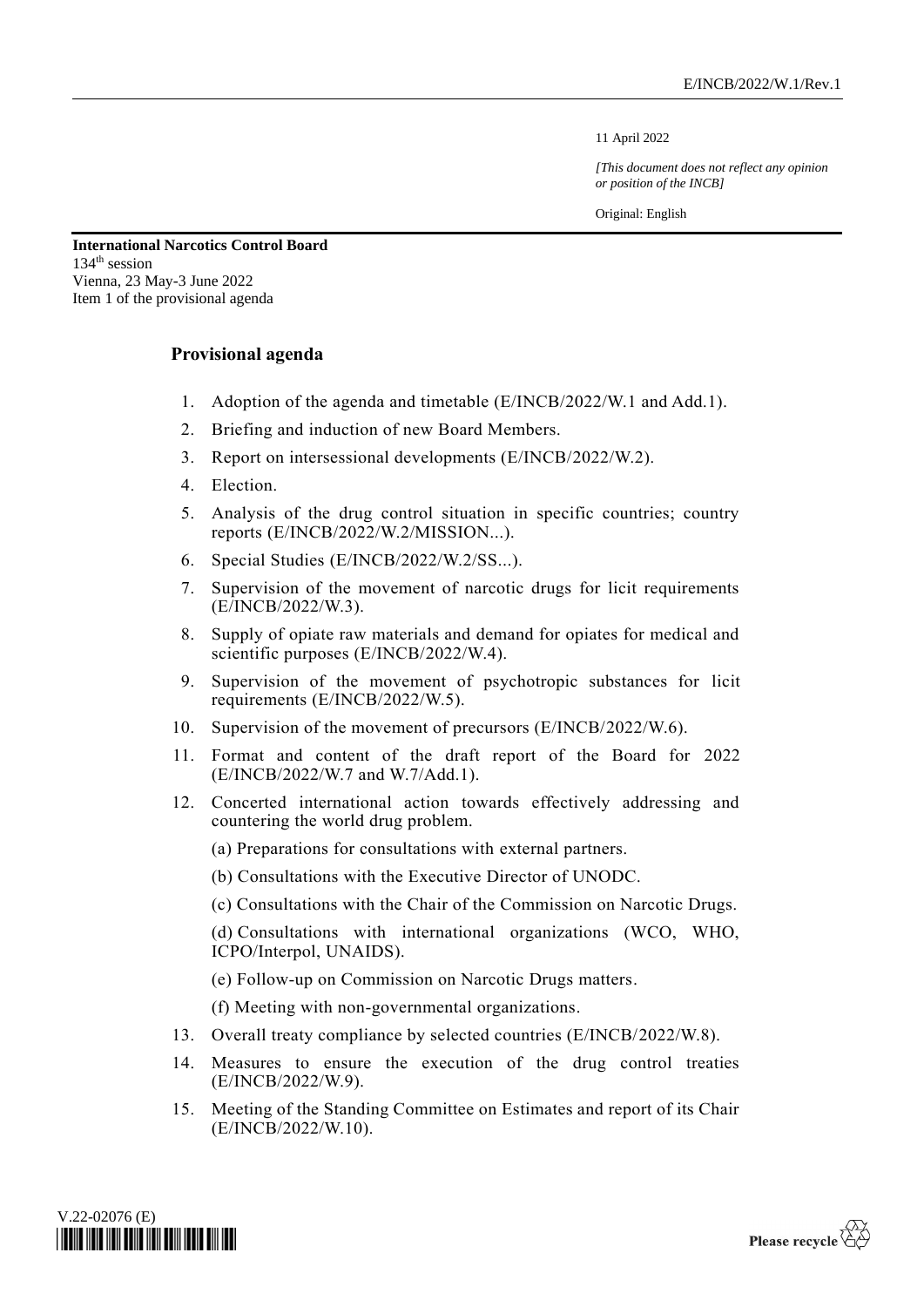11 April 2022

*[This document does not reflect any opinion or position of the INCB]*

Original: English

**International Narcotics Control Board** 134 th session Vienna, 23 May-3 June 2022 Item 1 of the provisional agenda

## **Provisional agenda**

- 1. Adoption of the agenda and timetable (E/INCB/2022/W.1 and Add.1).
- 2. Briefing and induction of new Board Members.
- 3. Report on intersessional developments (E/INCB/2022/W.2).
- 4. Election.
- 5. Analysis of the drug control situation in specific countries; country reports (E/INCB/2022/W.2/MISSION...).
- 6. Special Studies (E/INCB/2022/W.2/SS...).
- 7. Supervision of the movement of narcotic drugs for licit requirements (E/INCB/2022/W.3).
- 8. Supply of opiate raw materials and demand for opiates for medical and scientific purposes (E/INCB/2022/W.4).
- 9. Supervision of the movement of psychotropic substances for licit requirements (E/INCB/2022/W.5).
- 10. Supervision of the movement of precursors (E/INCB/2022/W.6).
- 11. Format and content of the draft report of the Board for 2022 (E/INCB/2022/W.7 and W.7/Add.1).
- 12. Concerted international action towards effectively addressing and countering the world drug problem.

(a) Preparations for consultations with external partners.

- (b) Consultations with the Executive Director of UNODC.
- (c) Consultations with the Chair of the Commission on Narcotic Drugs.

(d) Consultations with international organizations (WCO, WHO, ICPO/Interpol, UNAIDS).

(e) Follow-up on Commission on Narcotic Drugs matters.

(f) Meeting with non-governmental organizations.

- 13. Overall treaty compliance by selected countries (E/INCB/2022/W.8).
- 14. Measures to ensure the execution of the drug control treaties (E/INCB/2022/W.9).
- 15. Meeting of the Standing Committee on Estimates and report of its Chair (E/INCB/2022/W.10).